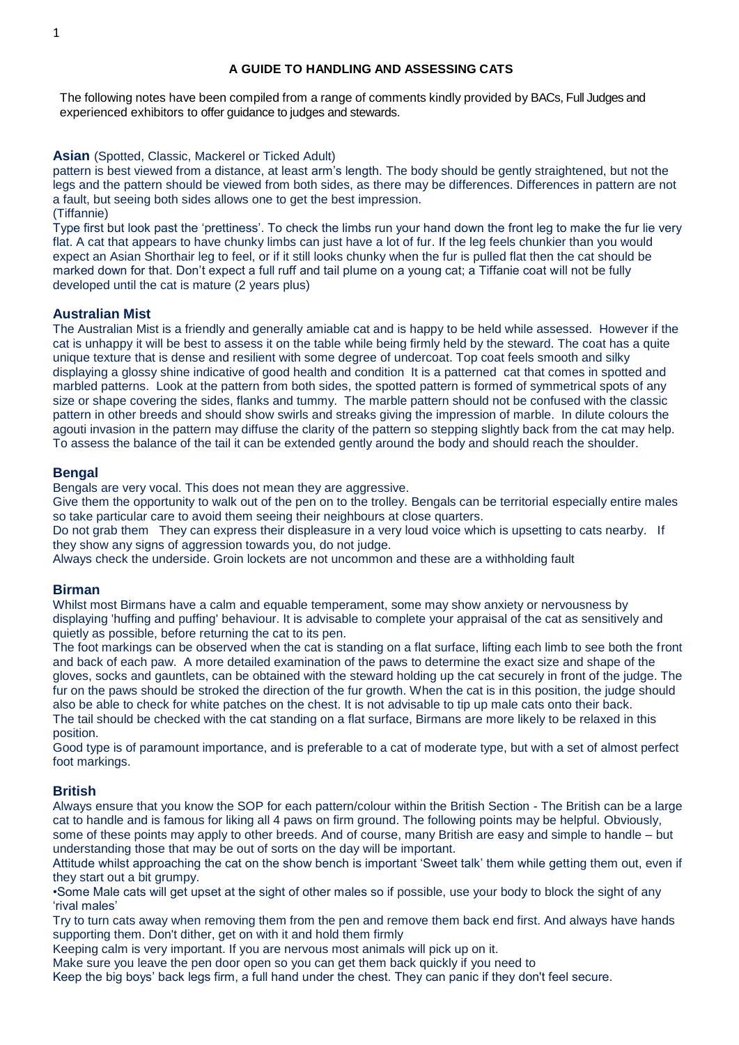The following notes have been compiled from a range of comments kindly provided by BACs, Full Judges and experienced exhibitors to offer guidance to judges and stewards.

# **Asian** (Spotted, Classic, Mackerel or Ticked Adult)

pattern is best viewed from a distance, at least arm's length. The body should be gently straightened, but not the legs and the pattern should be viewed from both sides, as there may be differences. Differences in pattern are not a fault, but seeing both sides allows one to get the best impression. (Tiffannie)

Type first but look past the 'prettiness'. To check the limbs run your hand down the front leg to make the fur lie very flat. A cat that appears to have chunky limbs can just have a lot of fur. If the leg feels chunkier than you would expect an Asian Shorthair leg to feel, or if it still looks chunky when the fur is pulled flat then the cat should be marked down for that. Don't expect a full ruff and tail plume on a young cat; a Tiffanie coat will not be fully developed until the cat is mature (2 years plus)

# **Australian Mist**

The Australian Mist is a friendly and generally amiable cat and is happy to be held while assessed. However if the cat is unhappy it will be best to assess it on the table while being firmly held by the steward. The coat has a quite unique texture that is dense and resilient with some degree of undercoat. Top coat feels smooth and silky displaying a glossy shine indicative of good health and condition It is a patterned cat that comes in spotted and marbled patterns. Look at the pattern from both sides, the spotted pattern is formed of symmetrical spots of any size or shape covering the sides, flanks and tummy. The marble pattern should not be confused with the classic pattern in other breeds and should show swirls and streaks giving the impression of marble. In dilute colours the agouti invasion in the pattern may diffuse the clarity of the pattern so stepping slightly back from the cat may help. To assess the balance of the tail it can be extended gently around the body and should reach the shoulder.

# **Bengal**

Bengals are very vocal. This does not mean they are aggressive.

Give them the opportunity to walk out of the pen on to the trolley. Bengals can be territorial especially entire males so take particular care to avoid them seeing their neighbours at close quarters.

Do not grab them They can express their displeasure in a very loud voice which is upsetting to cats nearby. If they show any signs of aggression towards you, do not judge.

Always check the underside. Groin lockets are not uncommon and these are a withholding fault

# **Birman**

Whilst most Birmans have a calm and equable temperament, some may show anxiety or nervousness by displaying 'huffing and puffing' behaviour. It is advisable to complete your appraisal of the cat as sensitively and quietly as possible, before returning the cat to its pen.

The foot markings can be observed when the cat is standing on a flat surface, lifting each limb to see both the front and back of each paw. A more detailed examination of the paws to determine the exact size and shape of the gloves, socks and gauntlets, can be obtained with the steward holding up the cat securely in front of the judge. The fur on the paws should be stroked the direction of the fur growth. When the cat is in this position, the judge should also be able to check for white patches on the chest. It is not advisable to tip up male cats onto their back. The tail should be checked with the cat standing on a flat surface, Birmans are more likely to be relaxed in this position.

Good type is of paramount importance, and is preferable to a cat of moderate type, but with a set of almost perfect foot markings.

# **British**

Always ensure that you know the SOP for each pattern/colour within the British Section - The British can be a large cat to handle and is famous for liking all 4 paws on firm ground. The following points may be helpful. Obviously, some of these points may apply to other breeds. And of course, many British are easy and simple to handle – but understanding those that may be out of sorts on the day will be important.

Attitude whilst approaching the cat on the show bench is important 'Sweet talk' them while getting them out, even if they start out a bit grumpy.

•Some Male cats will get upset at the sight of other males so if possible, use your body to block the sight of any 'rival males'

Try to turn cats away when removing them from the pen and remove them back end first. And always have hands supporting them. Don't dither, get on with it and hold them firmly

Keeping calm is very important. If you are nervous most animals will pick up on it.

Make sure you leave the pen door open so you can get them back quickly if you need to

Keep the big boys' back legs firm, a full hand under the chest. They can panic if they don't feel secure.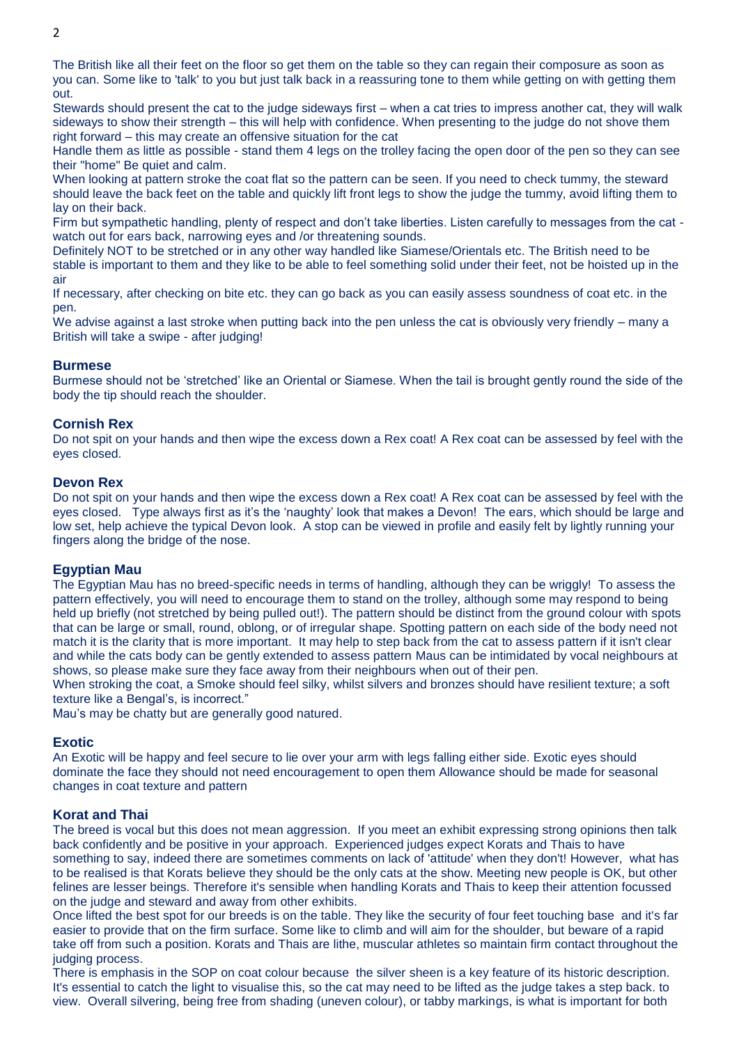The British like all their feet on the floor so get them on the table so they can regain their composure as soon as you can. Some like to 'talk' to you but just talk back in a reassuring tone to them while getting on with getting them out.

Stewards should present the cat to the judge sideways first – when a cat tries to impress another cat, they will walk sideways to show their strength – this will help with confidence. When presenting to the judge do not shove them right forward – this may create an offensive situation for the cat

Handle them as little as possible - stand them 4 legs on the trolley facing the open door of the pen so they can see their "home" Be quiet and calm.

When looking at pattern stroke the coat flat so the pattern can be seen. If you need to check tummy, the steward should leave the back feet on the table and quickly lift front legs to show the judge the tummy, avoid lifting them to lay on their back.

Firm but sympathetic handling, plenty of respect and don't take liberties. Listen carefully to messages from the cat watch out for ears back, narrowing eyes and /or threatening sounds.

Definitely NOT to be stretched or in any other way handled like Siamese/Orientals etc. The British need to be stable is important to them and they like to be able to feel something solid under their feet, not be hoisted up in the air

If necessary, after checking on bite etc. they can go back as you can easily assess soundness of coat etc. in the pen.

We advise against a last stroke when putting back into the pen unless the cat is obviously very friendly – many a British will take a swipe - after judging!

## **Burmese**

Burmese should not be 'stretched' like an Oriental or Siamese. When the tail is brought gently round the side of the body the tip should reach the shoulder.

# **Cornish Rex**

Do not spit on your hands and then wipe the excess down a Rex coat! A Rex coat can be assessed by feel with the eyes closed.

## **Devon Rex**

Do not spit on your hands and then wipe the excess down a Rex coat! A Rex coat can be assessed by feel with the eyes closed. Type always first as it's the 'naughty' look that makes a Devon! The ears, which should be large and low set, help achieve the typical Devon look. A stop can be viewed in profile and easily felt by lightly running your fingers along the bridge of the nose.

## **Egyptian Mau**

The Egyptian Mau has no breed-specific needs in terms of handling, although they can be wriggly! To assess the pattern effectively, you will need to encourage them to stand on the trolley, although some may respond to being held up briefly (not stretched by being pulled out!). The pattern should be distinct from the ground colour with spots that can be large or small, round, oblong, or of irregular shape. Spotting pattern on each side of the body need not match it is the clarity that is more important. It may help to step back from the cat to assess pattern if it isn't clear and while the cats body can be gently extended to assess pattern Maus can be intimidated by vocal neighbours at shows, so please make sure they face away from their neighbours when out of their pen.

When stroking the coat, a Smoke should feel silky, whilst silvers and bronzes should have resilient texture; a soft texture like a Bengal's, is incorrect."

Mau's may be chatty but are generally good natured.

## **Exotic**

An Exotic will be happy and feel secure to lie over your arm with legs falling either side. Exotic eyes should dominate the face they should not need encouragement to open them Allowance should be made for seasonal changes in coat texture and pattern

## **Korat and Thai**

The breed is vocal but this does not mean aggression. If you meet an exhibit expressing strong opinions then talk back confidently and be positive in your approach. Experienced judges expect Korats and Thais to have something to say, indeed there are sometimes comments on lack of 'attitude' when they don't! However, what has to be realised is that Korats believe they should be the only cats at the show. Meeting new people is OK, but other felines are lesser beings. Therefore it's sensible when handling Korats and Thais to keep their attention focussed on the judge and steward and away from other exhibits.

Once lifted the best spot for our breeds is on the table. They like the security of four feet touching base and it's far easier to provide that on the firm surface. Some like to climb and will aim for the shoulder, but beware of a rapid take off from such a position. Korats and Thais are lithe, muscular athletes so maintain firm contact throughout the judging process.

There is emphasis in the SOP on coat colour because the silver sheen is a key feature of its historic description. It's essential to catch the light to visualise this, so the cat may need to be lifted as the judge takes a step back. to view. Overall silvering, being free from shading (uneven colour), or tabby markings, is what is important for both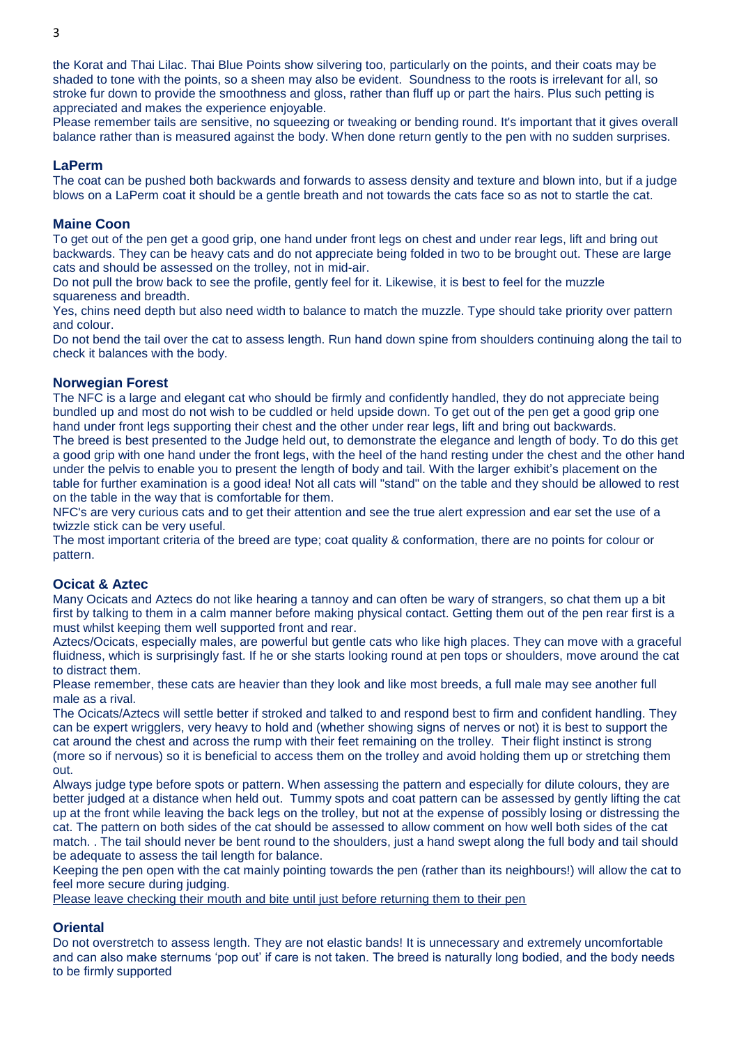the Korat and Thai Lilac. Thai Blue Points show silvering too, particularly on the points, and their coats may be shaded to tone with the points, so a sheen may also be evident. Soundness to the roots is irrelevant for all, so stroke fur down to provide the smoothness and gloss, rather than fluff up or part the hairs. Plus such petting is appreciated and makes the experience enjoyable.

Please remember tails are sensitive, no squeezing or tweaking or bending round. It's important that it gives overall balance rather than is measured against the body. When done return gently to the pen with no sudden surprises.

# **LaPerm**

The coat can be pushed both backwards and forwards to assess density and texture and blown into, but if a judge blows on a LaPerm coat it should be a gentle breath and not towards the cats face so as not to startle the cat.

## **Maine Coon**

To get out of the pen get a good grip, one hand under front legs on chest and under rear legs, lift and bring out backwards. They can be heavy cats and do not appreciate being folded in two to be brought out. These are large cats and should be assessed on the trolley, not in mid-air.

Do not pull the brow back to see the profile, gently feel for it. Likewise, it is best to feel for the muzzle squareness and breadth.

Yes, chins need depth but also need width to balance to match the muzzle. Type should take priority over pattern and colour.

Do not bend the tail over the cat to assess length. Run hand down spine from shoulders continuing along the tail to check it balances with the body.

# **Norwegian Forest**

The NFC is a large and elegant cat who should be firmly and confidently handled, they do not appreciate being bundled up and most do not wish to be cuddled or held upside down. To get out of the pen get a good grip one hand under front legs supporting their chest and the other under rear legs, lift and bring out backwards.

The breed is best presented to the Judge held out, to demonstrate the elegance and length of body. To do this get a good grip with one hand under the front legs, with the heel of the hand resting under the chest and the other hand under the pelvis to enable you to present the length of body and tail. With the larger exhibit's placement on the table for further examination is a good idea! Not all cats will "stand" on the table and they should be allowed to rest on the table in the way that is comfortable for them.

NFC's are very curious cats and to get their attention and see the true alert expression and ear set the use of a twizzle stick can be very useful.

The most important criteria of the breed are type; coat quality & conformation, there are no points for colour or pattern.

## **Ocicat & Aztec**

Many Ocicats and Aztecs do not like hearing a tannoy and can often be wary of strangers, so chat them up a bit first by talking to them in a calm manner before making physical contact. Getting them out of the pen rear first is a must whilst keeping them well supported front and rear.

Aztecs/Ocicats, especially males, are powerful but gentle cats who like high places. They can move with a graceful fluidness, which is surprisingly fast. If he or she starts looking round at pen tops or shoulders, move around the cat to distract them.

Please remember, these cats are heavier than they look and like most breeds, a full male may see another full male as a rival.

The Ocicats/Aztecs will settle better if stroked and talked to and respond best to firm and confident handling. They can be expert wrigglers, very heavy to hold and (whether showing signs of nerves or not) it is best to support the cat around the chest and across the rump with their feet remaining on the trolley. Their flight instinct is strong (more so if nervous) so it is beneficial to access them on the trolley and avoid holding them up or stretching them out.

Always judge type before spots or pattern. When assessing the pattern and especially for dilute colours, they are better judged at a distance when held out. Tummy spots and coat pattern can be assessed by gently lifting the cat up at the front while leaving the back legs on the trolley, but not at the expense of possibly losing or distressing the cat. The pattern on both sides of the cat should be assessed to allow comment on how well both sides of the cat match. . The tail should never be bent round to the shoulders, just a hand swept along the full body and tail should be adequate to assess the tail length for balance.

Keeping the pen open with the cat mainly pointing towards the pen (rather than its neighbours!) will allow the cat to feel more secure during judging.

Please leave checking their mouth and bite until just before returning them to their pen

# **Oriental**

Do not overstretch to assess length. They are not elastic bands! It is unnecessary and extremely uncomfortable and can also make sternums 'pop out' if care is not taken. The breed is naturally long bodied, and the body needs to be firmly supported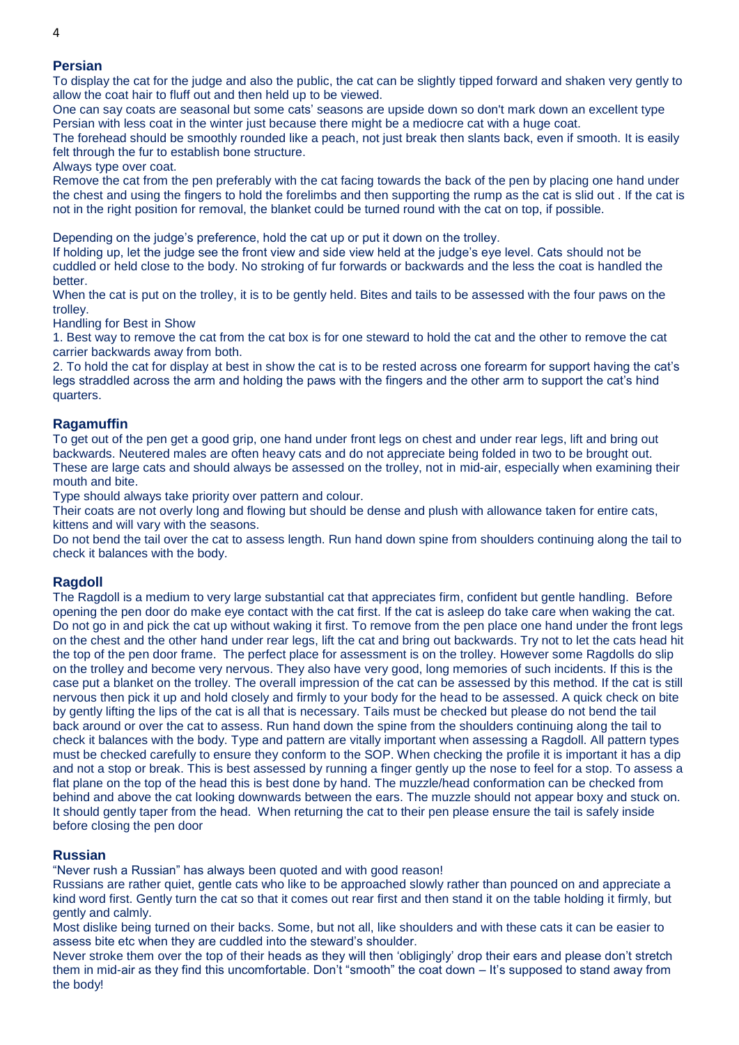# **Persian**

To display the cat for the judge and also the public, the cat can be slightly tipped forward and shaken very gently to allow the coat hair to fluff out and then held up to be viewed.

One can say coats are seasonal but some cats' seasons are upside down so don't mark down an excellent type Persian with less coat in the winter just because there might be a mediocre cat with a huge coat.

The forehead should be smoothly rounded like a peach, not just break then slants back, even if smooth. It is easily felt through the fur to establish bone structure.

#### Always type over coat.

Remove the cat from the pen preferably with the cat facing towards the back of the pen by placing one hand under the chest and using the fingers to hold the forelimbs and then supporting the rump as the cat is slid out . If the cat is not in the right position for removal, the blanket could be turned round with the cat on top, if possible.

Depending on the judge's preference, hold the cat up or put it down on the trolley.

If holding up, let the judge see the front view and side view held at the judge's eye level. Cats should not be cuddled or held close to the body. No stroking of fur forwards or backwards and the less the coat is handled the better.

When the cat is put on the trolley, it is to be gently held. Bites and tails to be assessed with the four paws on the trolley.

Handling for Best in Show

1. Best way to remove the cat from the cat box is for one steward to hold the cat and the other to remove the cat carrier backwards away from both.

2. To hold the cat for display at best in show the cat is to be rested across one forearm for support having the cat's legs straddled across the arm and holding the paws with the fingers and the other arm to support the cat's hind quarters.

## **Ragamuffin**

To get out of the pen get a good grip, one hand under front legs on chest and under rear legs, lift and bring out backwards. Neutered males are often heavy cats and do not appreciate being folded in two to be brought out. These are large cats and should always be assessed on the trolley, not in mid-air, especially when examining their mouth and bite.

Type should always take priority over pattern and colour.

Their coats are not overly long and flowing but should be dense and plush with allowance taken for entire cats, kittens and will vary with the seasons.

Do not bend the tail over the cat to assess length. Run hand down spine from shoulders continuing along the tail to check it balances with the body.

#### **Ragdoll**

The Ragdoll is a medium to very large substantial cat that appreciates firm, confident but gentle handling. Before opening the pen door do make eye contact with the cat first. If the cat is asleep do take care when waking the cat. Do not go in and pick the cat up without waking it first. To remove from the pen place one hand under the front legs on the chest and the other hand under rear legs, lift the cat and bring out backwards. Try not to let the cats head hit the top of the pen door frame. The perfect place for assessment is on the trolley. However some Ragdolls do slip on the trolley and become very nervous. They also have very good, long memories of such incidents. If this is the case put a blanket on the trolley. The overall impression of the cat can be assessed by this method. If the cat is still nervous then pick it up and hold closely and firmly to your body for the head to be assessed. A quick check on bite by gently lifting the lips of the cat is all that is necessary. Tails must be checked but please do not bend the tail back around or over the cat to assess. Run hand down the spine from the shoulders continuing along the tail to check it balances with the body. Type and pattern are vitally important when assessing a Ragdoll. All pattern types must be checked carefully to ensure they conform to the SOP. When checking the profile it is important it has a dip and not a stop or break. This is best assessed by running a finger gently up the nose to feel for a stop. To assess a flat plane on the top of the head this is best done by hand. The muzzle/head conformation can be checked from behind and above the cat looking downwards between the ears. The muzzle should not appear boxy and stuck on. It should gently taper from the head. When returning the cat to their pen please ensure the tail is safely inside before closing the pen door

## **Russian**

"Never rush a Russian" has always been quoted and with good reason!

Russians are rather quiet, gentle cats who like to be approached slowly rather than pounced on and appreciate a kind word first. Gently turn the cat so that it comes out rear first and then stand it on the table holding it firmly, but gently and calmly.

Most dislike being turned on their backs. Some, but not all, like shoulders and with these cats it can be easier to assess bite etc when they are cuddled into the steward's shoulder.

Never stroke them over the top of their heads as they will then 'obligingly' drop their ears and please don't stretch them in mid-air as they find this uncomfortable. Don't "smooth" the coat down – It's supposed to stand away from the body!